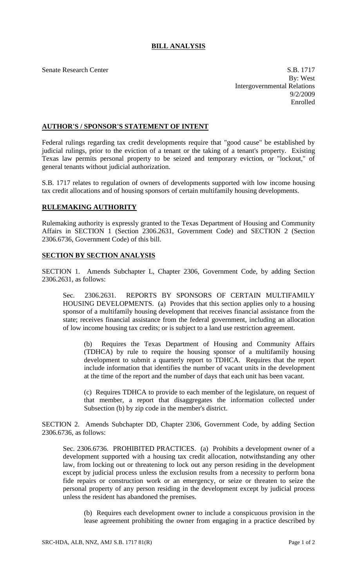## **BILL ANALYSIS**

Senate Research Center S.B. 1717 By: West Intergovernmental Relations 9/2/2009 Enrolled

## **AUTHOR'S / SPONSOR'S STATEMENT OF INTENT**

Federal rulings regarding tax credit developments require that "good cause" be established by judicial rulings, prior to the eviction of a tenant or the taking of a tenant's property. Existing Texas law permits personal property to be seized and temporary eviction, or "lockout," of general tenants without judicial authorization.

S.B. 1717 relates to regulation of owners of developments supported with low income housing tax credit allocations and of housing sponsors of certain multifamily housing developments.

## **RULEMAKING AUTHORITY**

Rulemaking authority is expressly granted to the Texas Department of Housing and Community Affairs in SECTION 1 (Section 2306.2631, Government Code) and SECTION 2 (Section 2306.6736, Government Code) of this bill.

## **SECTION BY SECTION ANALYSIS**

SECTION 1. Amends Subchapter L, Chapter 2306, Government Code, by adding Section 2306.2631, as follows:

Sec. 2306.2631. REPORTS BY SPONSORS OF CERTAIN MULTIFAMILY HOUSING DEVELOPMENTS. (a) Provides that this section applies only to a housing sponsor of a multifamily housing development that receives financial assistance from the state; receives financial assistance from the federal government, including an allocation of low income housing tax credits; or is subject to a land use restriction agreement.

(b) Requires the Texas Department of Housing and Community Affairs (TDHCA) by rule to require the housing sponsor of a multifamily housing development to submit a quarterly report to TDHCA. Requires that the report include information that identifies the number of vacant units in the development at the time of the report and the number of days that each unit has been vacant.

(c) Requires TDHCA to provide to each member of the legislature, on request of that member, a report that disaggregates the information collected under Subsection (b) by zip code in the member's district.

SECTION 2. Amends Subchapter DD, Chapter 2306, Government Code, by adding Section 2306.6736, as follows:

Sec. 2306.6736. PROHIBITED PRACTICES. (a) Prohibits a development owner of a development supported with a housing tax credit allocation, notwithstanding any other law, from locking out or threatening to lock out any person residing in the development except by judicial process unless the exclusion results from a necessity to perform bona fide repairs or construction work or an emergency, or seize or threaten to seize the personal property of any person residing in the development except by judicial process unless the resident has abandoned the premises.

(b) Requires each development owner to include a conspicuous provision in the lease agreement prohibiting the owner from engaging in a practice described by